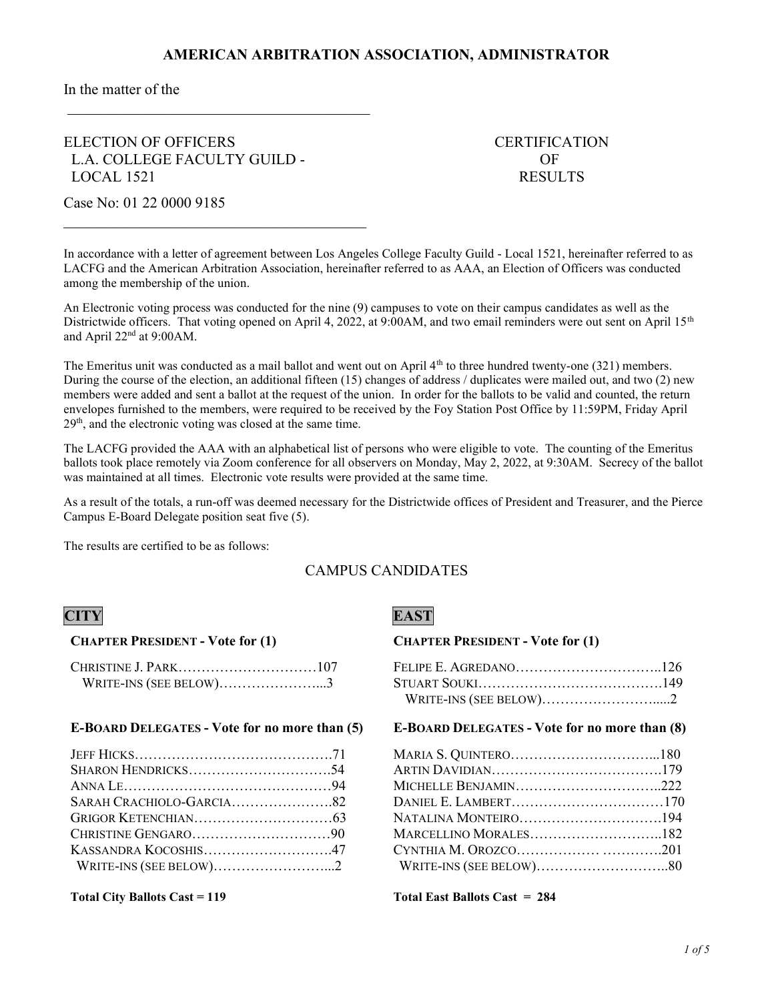In the matter of the

## ELECTION OF OFFICERS CERTIFICATION L.A. COLLEGE FACULTY GUILD - OF LOCAL 1521 RESULTS

Case No: 01 22 0000 9185

In accordance with a letter of agreement between Los Angeles College Faculty Guild - Local 1521, hereinafter referred to as LACFG and the American Arbitration Association, hereinafter referred to as AAA, an Election of Officers was conducted among the membership of the union.

An Electronic voting process was conducted for the nine (9) campuses to vote on their campus candidates as well as the Districtwide officers. That voting opened on April 4, 2022, at 9:00AM, and two email reminders were out sent on April  $15<sup>th</sup>$ and April  $22<sup>nd</sup>$  at 9:00AM.

The Emeritus unit was conducted as a mail ballot and went out on April 4<sup>th</sup> to three hundred twenty-one (321) members. During the course of the election, an additional fifteen (15) changes of address / duplicates were mailed out, and two (2) new members were added and sent a ballot at the request of the union. In order for the ballots to be valid and counted, the return envelopes furnished to the members, were required to be received by the Foy Station Post Office by 11:59PM, Friday April 29<sup>th</sup>, and the electronic voting was closed at the same time.

The LACFG provided the AAA with an alphabetical list of persons who were eligible to vote. The counting of the Emeritus ballots took place remotely via Zoom conference for all observers on Monday, May 2, 2022, at 9:30AM. Secrecy of the ballot was maintained at all times. Electronic vote results were provided at the same time.

As a result of the totals, a run-off was deemed necessary for the Districtwide offices of President and Treasurer, and the Pierce Campus E-Board Delegate position seat five (5).

The results are certified to be as follows:

## CAMPUS CANDIDATES

## CHAPTER PRESIDENT - Vote for (1)

| WRITE-INS (SEE BELOW)3 |  |
|------------------------|--|

## E-BOARD DELEGATES - Vote for no more than (5)

| KASSANDRA KOCOSHIS47   |  |
|------------------------|--|
| WRITE-INS (SEE BELOW)2 |  |

## CITY EAST

## CHAPTER PRESIDENT - Vote for (1)

| WRITE-INS (SEE BELOW)2 |  |
|------------------------|--|

## E-BOARD DELEGATES - Vote for no more than (8)

| MICHELLE BENJAMIN222 |  |
|----------------------|--|
|                      |  |
| NATALINA MONTEIRO194 |  |
|                      |  |
|                      |  |
|                      |  |

Total City Ballots Cast = 119 Total East Ballots Cast = 284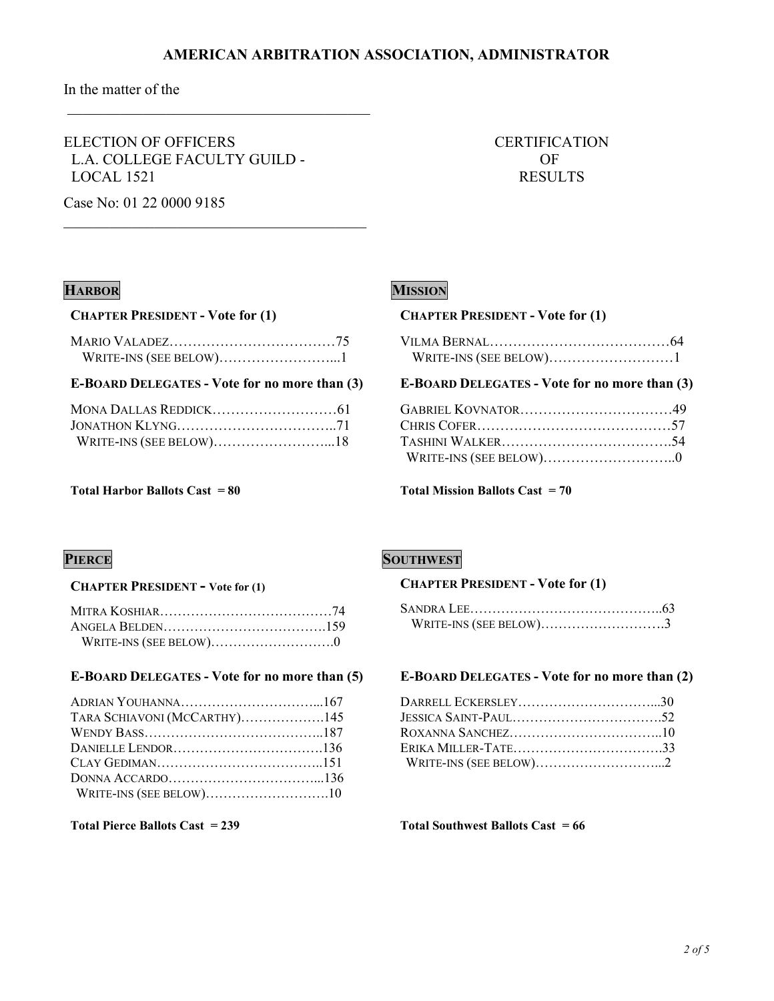In the matter of the

ELECTION OF OFFICERS THE CERTIFICATION L.A. COLLEGE FACULTY GUILD - OF LOCAL 1521 RESULTS

Case No: 01 22 0000 9185

## HARBOR MISSION

## CHAPTER PRESIDENT - Vote for (1)

| WRITE-INS (SEE BELOW)1 |  |
|------------------------|--|

## E-BOARD DELEGATES - Vote for no more than (3)

### Total Harbor Ballots Cast  $= 80$  Total Mission Ballots Cast  $= 70$

### CHAPTER PRESIDENT - Vote for (1)

| WRITE-INS (SEE BELOW)1 |  |  |
|------------------------|--|--|

### E-BOARD DELEGATES - Vote for no more than (3)

### CHAPTER PRESIDENT - Vote for (1)

## E-BOARD DELEGATES - Vote for no more than (5)

| TARA SCHIAVONI (MCCARTHY)145 |  |
|------------------------------|--|
|                              |  |
|                              |  |
|                              |  |
|                              |  |
| WRITE-INS (SEE BELOW)10      |  |

## **PIERCE SOUTHWEST**

## CHAPTER PRESIDENT - Vote for (1)

| WRITE-INS (SEE BELOW)3 |  |
|------------------------|--|

### E-BOARD DELEGATES - Vote for no more than (2)

| DARRELL ECKERSLEY30 |  |
|---------------------|--|
|                     |  |
|                     |  |
| ERIKA MILLER-TATE33 |  |
|                     |  |
|                     |  |

### Total Pierce Ballots Cast = 239 Total Southwest Ballots Cast = 66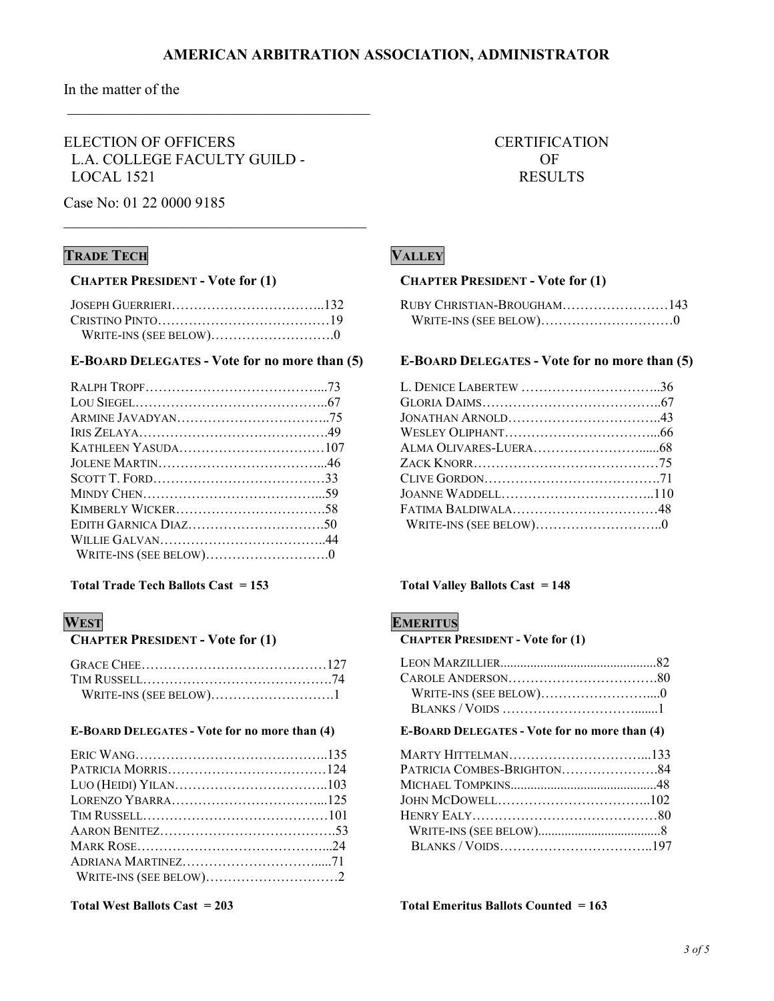In the matter of the

ELECTION OF OFFICERS THE CERTIFICATION L.A. COLLEGE FACULTY GUILD - OF LOCAL 1521 RESULTS

Case No: 01 22 0000 9185

## **TRADE TECH VALLEY**

### CHAPTER PRESIDENT - Vote for (1)

## E-BOARD DELEGATES - Vote for no more than (5)

## Total Trade Tech Ballots Cast = 153 Total Valley Ballots Cast = 148

### CHAPTER PRESIDENT - Vote for (1)

| WRITE-INS (SEE BELOW)1 |  |
|------------------------|--|

### E-BOARD DELEGATES - Vote for no more than (4)

## CHAPTER PRESIDENT - Vote for (1)

| RUBY CHRISTIAN-BROUGHAM143 |  |
|----------------------------|--|
|                            |  |

## E-BOARD DELEGATES - Vote for no more than (5)

| L. DENICE LABERTEW 36 |  |
|-----------------------|--|
|                       |  |
| JONATHAN ARNOLD43     |  |
|                       |  |
|                       |  |
|                       |  |
|                       |  |
|                       |  |
| FATIMA BALDIWALA48    |  |
|                       |  |
|                       |  |

## WEST EMERITUS

CHAPTER PRESIDENT - Vote for (1)

## E-BOARD DELEGATES - Vote for no more than (4)

| MARTY HITTELMAN133         |  |
|----------------------------|--|
| PATRICIA COMBES-BRIGHTON84 |  |
|                            |  |
|                            |  |
|                            |  |
|                            |  |
|                            |  |

Total West Ballots Cast = 203 Total Emeritus Ballots Counted = 163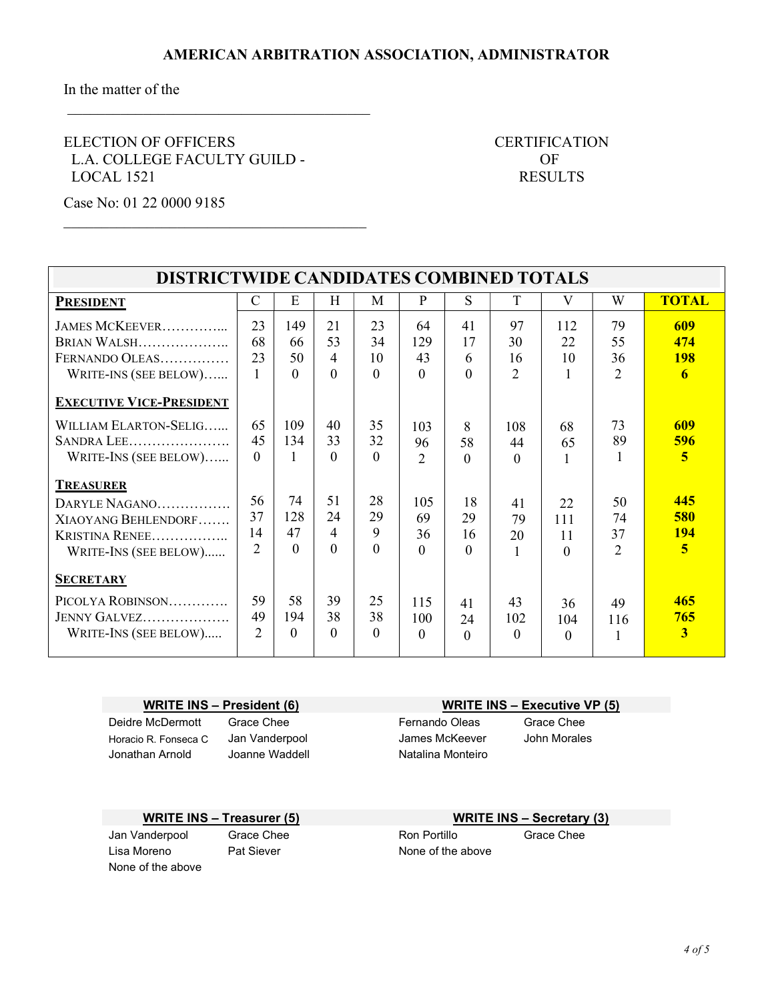In the matter of the

ELECTION OF OFFICERS CERTIFICATION L.A. COLLEGE FACULTY GUILD - OF LOCAL 1521 RESULTS

Case No: 01 22 0000 9185

| DISTRICTWIDE CANDIDATES COMBINED TOTALS                                                             |                                |                       |                                        |                            |                             |                            |                                  |                             |                                  |                                       |
|-----------------------------------------------------------------------------------------------------|--------------------------------|-----------------------|----------------------------------------|----------------------------|-----------------------------|----------------------------|----------------------------------|-----------------------------|----------------------------------|---------------------------------------|
| <b>PRESIDENT</b>                                                                                    | $\mathcal{C}$                  | E                     | H                                      | M                          | P                           | S                          | T                                | V                           | W                                | <b>TOTAL</b>                          |
| JAMES MCKEEVER<br>BRIAN WALSH<br>FERNANDO OLEAS<br>WRITE-INS (SEE BELOW)                            | 23<br>68<br>23<br>$\mathbf{1}$ | 149<br>66<br>50<br>0  | 21<br>53<br>$\overline{4}$<br>$\Omega$ | 23<br>34<br>10<br>$\Omega$ | 64<br>129<br>43<br>$\Omega$ | 41<br>17<br>6<br>$\Omega$  | 97<br>30<br>16<br>$\overline{2}$ | 112<br>22<br>10             | 79<br>55<br>36<br>$\overline{2}$ | 609<br>474<br><b>198</b><br>6         |
| <b>EXECUTIVE VICE-PRESIDENT</b>                                                                     |                                |                       |                                        |                            |                             |                            |                                  |                             |                                  |                                       |
| WILLIAM ELARTON-SELIG<br>SANDRA LEE<br>WRITE-INS (SEE BELOW)                                        | 65<br>45<br>$\Omega$           | 109<br>134            | 40<br>33<br>$\Omega$                   | 35<br>32<br>$\Omega$       | 103<br>96<br>$\overline{2}$ | 8<br>58<br>$\Omega$        | 108<br>44<br>$\Omega$            | 68<br>65                    | 73<br>89                         | 609<br>596<br>5                       |
| <b>TREASURER</b><br>DARYLE NAGANO<br>XIAOYANG BEHLENDORF<br>KRISTINA RENEE<br>WRITE-INS (SEE BELOW) | 56<br>37<br>14<br>2            | 74<br>128<br>47<br>0  | 51<br>24<br>4<br>$\Omega$              | 28<br>29<br>9<br>$\Omega$  | 105<br>69<br>36<br>$\Omega$ | 18<br>29<br>16<br>$\Omega$ | 41<br>79<br>20<br>1              | 22<br>111<br>11<br>$\Omega$ | 50<br>74<br>37<br>$\overline{2}$ | 445<br>580<br><b>194</b><br>5         |
| <b>SECRETARY</b><br>PICOLYA ROBINSON<br>JENNY GALVEZ<br>WRITE-INS (SEE BELOW)                       | 59<br>49<br>$\overline{2}$     | 58<br>194<br>$\Omega$ | 39<br>38<br>$\Omega$                   | 25<br>38<br>$\Omega$       | 115<br>100<br>0             | 41<br>24<br>$\Omega$       | 43<br>102<br>0                   | 36<br>104<br>$\Omega$       | 49<br>116                        | 465<br>765<br>$\overline{\mathbf{3}}$ |

WRITE INS – President (6) WRITE INS – Executive VP (5) Deidre McDermott Grace Chee **Fernando Oleas** Grace Chee Horacio R. Fonseca C Jan Vanderpool James McKeever John Morales Jonathan Arnold Joanne Waddell **Natalina Monteiro** 

## WRITE INS – Treasurer (5) WRITE INS – Secretary (3)

Lisa Moreno **Pat Siever** None of the above None of the above

Jan Vanderpool Grace Chee **Ron Portillo** Grace Chee